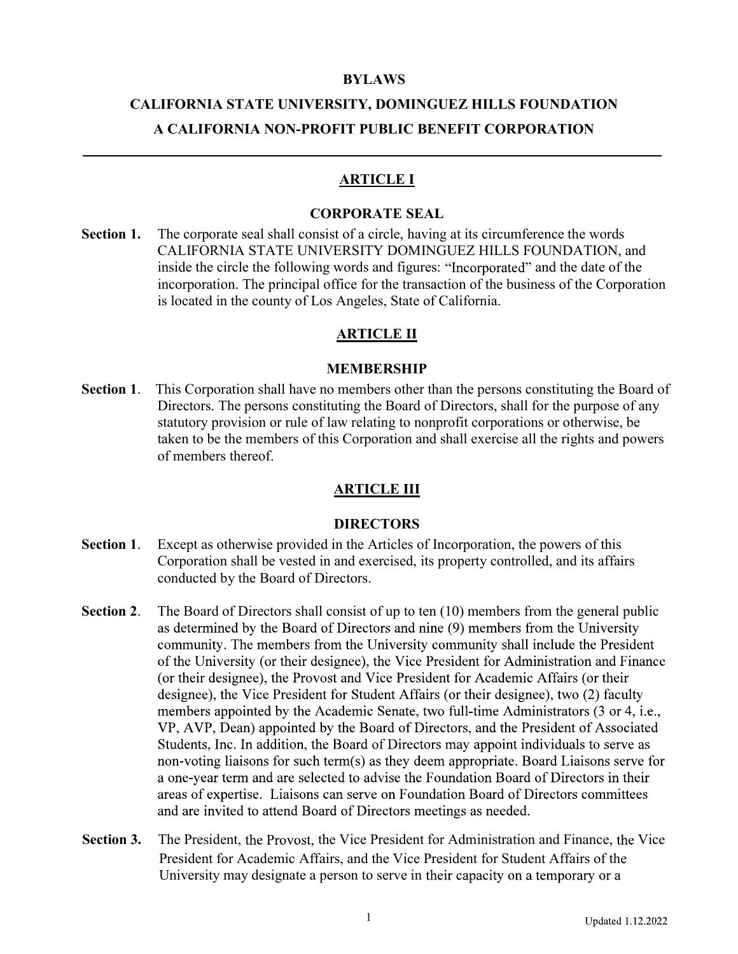#### BYLAWS

# CALIFORNIA STATE UNIVERSITY, DOMINGUEZ HILLS FOUNDATION A CALIFORNIA NON-PROFIT PUBLIC BENEFIT CORPORATION

#### ARTICLE I

#### CORPORATE SEAL

Section 1. The corporate seal shall consist of a circle, having at its circumference the words CALIFORNIA STATE UNIVERSITY DOMINGUEZ HILLS FOUNDATION, and inside the circle the following words and figures: "Incorporated" and the date of the incorporation. The principal office for the transaction of the business of the Corporation is located in the county of Los Angeles, State of California.

#### ARTICLE II

#### MEMBERSHIP

Section 1. This Corporation shall have no members other than the persons constituting the Board of Directors. The persons constituting the Board of Directors, shall for the purpose of any statutory provision or rule of law relating to nonprofit corporations or otherwise, be taken to be the members of this Corporation and shall exercise all the rights and powers of members thereof.

#### **ARTICLE III**

#### **DIRECTORS**

- Section 1. Except as otherwise provided in the Articles of Incorporation, the powers of this Corporation shall be vested in and exercised, its property controlled, and its affairs conducted by the Board of Directors.
- Section 2. The Board of Directors shall consist of up to ten (10) members from the general public as determined by the Board of Directors and nine (9) members from the University community. The members from the University community shall include the President of the University (or their designee), the Vice President for Administration and Finance (or their designee), the Provost and Vice President for Academic Affairs (or their designee), the Vice President for Student Affairs (or their designee), two (2) faculty members appointed by the Academic Senate, two full-time Administrators (3 or 4, i.e., VP, AVP, Dean) appointed by the Board of Directors, and the President of Associated Students, Inc. In addition, the Board of Directors may appoint individuals to serve as non-voting liaisons for such term(s) as they deem appropriate. Board Liaisons serve for a one-year term and are selected to advise the Foundation Board of Directors in their areas of expertise. Liaisons can serve on Foundation Board of Directors committees and are invited to attend Board of Directors meetings as needed.
- Section 3. The President, the Provost, the Vice President for Administration and Finance, the Vice President for Academic Affairs, and the Vice President for Student Affairs of the University may designate a person to serve in their capacity on a temporary or a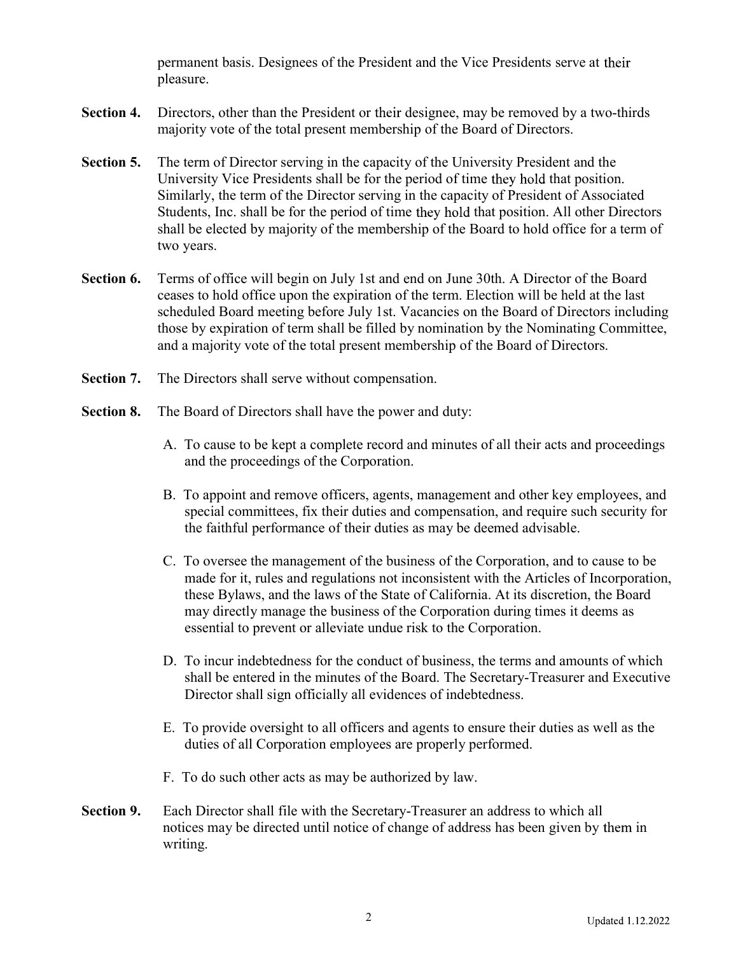permanent basis. Designees of the President and the Vice Presidents serve at pleasure.

- Section 4. Directors, other than the President or their designee, may be removed by a two-thirds majority vote of the total present membership of the Board of Directors.
- Section 5. The term of Director serving in the capacity of the University President and the University Vice Presidents shall be for the period of time they hold that position. Similarly, the term of the Director serving in the capacity of President of Associated Students, Inc. shall be for the period of time they hold that position. All other Directors shall be elected by majority of the membership of the Board to hold office for a term of two years.
- Section 6. Terms of office will begin on July 1st and end on June 30th. A Director of the Board ceases to hold office upon the expiration of the term. Election will be held at the last scheduled Board meeting before July 1st. Vacancies on the Board of Directors including those by expiration of term shall be filled by nomination by the Nominating Committee, and a majority vote of the total present membership of the Board of Directors.
- Section 7. The Directors shall serve without compensation.
- Section 8. The Board of Directors shall have the power and duty:
	- A. To cause to be kept a complete record and minutes of all their acts and proceedings and the proceedings of the Corporation.
	- B. To appoint and remove officers, agents, management and other key employees, and special committees, fix their duties and compensation, and require such security for the faithful performance of their duties as may be deemed advisable.
	- C. To oversee the management of the business of the Corporation, and to cause to be made for it, rules and regulations not inconsistent with the Articles of Incorporation, these Bylaws, and the laws of the State of California. At its discretion, the Board may directly manage the business of the Corporation during times it deems as essential to prevent or alleviate undue risk to the Corporation.
	- D. To incur indebtedness for the conduct of business, the terms and amounts of which shall be entered in the minutes of the Board. The Secretary-Treasurer and Executive Director shall sign officially all evidences of indebtedness.
	- E. To provide oversight to all officers and agents to ensure their duties as well as the duties of all Corporation employees are properly performed.
	- F. To do such other acts as may be authorized by law.
- Section 9. Each Director shall file with the Secretary-Treasurer an address to which all notices may be directed until notice of change of address has been given by them in writing.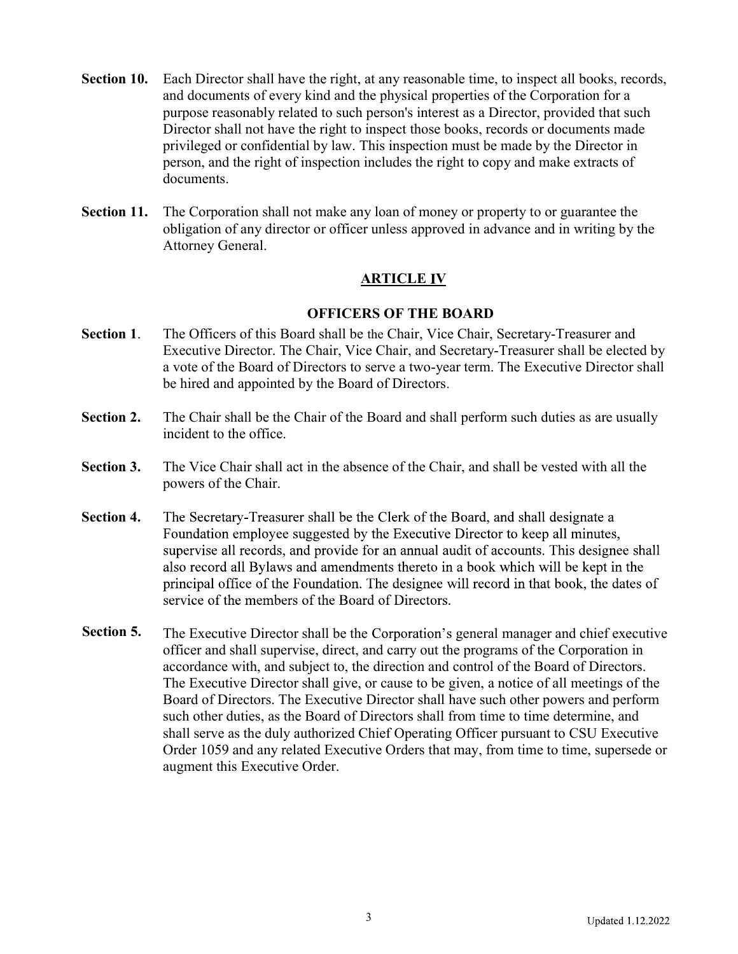- Section 10. Each Director shall have the right, at any reasonable time, to inspect all books, records, and documents of every kind and the physical properties of the Corporation for a purpose reasonably related to such person's interest as a Director, provided that such Director shall not have the right to inspect those books, records or documents made privileged or confidential by law. This inspection must be made by the Director in person, and the right of inspection includes the right to copy and make extracts of documents.
- Section 11. The Corporation shall not make any loan of money or property to or guarantee the obligation of any director or officer unless approved in advance and in writing by the Attorney General.

# **ARTICLE IV**

# OFFICERS OF THE BOARD

- Section 1. The Officers of this Board shall be the Chair, Vice Chair, Secretary-Treasurer and Executive Director. The Chair, Vice Chair, and Secretary-Treasurer shall be elected by a vote of the Board of Directors to serve a two-year term. The Executive Director shall be hired and appointed by the Board of Directors.
- Section 2. The Chair shall be the Chair of the Board and shall perform such duties as are usually incident to the office.
- Section 3. The Vice Chair shall act in the absence of the Chair, and shall be vested with all the powers of the Chair.
- Section 4. The Secretary-Treasurer shall be the Clerk of the Board, and shall designate a Foundation employee suggested by the Executive Director to keep all minutes, supervise all records, and provide for an annual audit of accounts. This designee shall also record all Bylaws and amendments thereto in a book which will be kept in the principal office of the Foundation. The designee will record in that book, the dates of service of the members of the Board of Directors.
- Section 5. The Executive Director shall be the Corporation's general manager and chief executive officer and shall supervise, direct, and carry out the programs of the Corporation in accordance with, and subject to, the direction and control of the Board of Directors. The Executive Director shall give, or cause to be given, a notice of all meetings of the Board of Directors. The Executive Director shall have such other powers and perform such other duties, as the Board of Directors shall from time to time determine, and shall serve as the duly authorized Chief Operating Officer pursuant to CSU Executive Order 1059 and any related Executive Orders that may, from time to time, supersede or augment this Executive Order.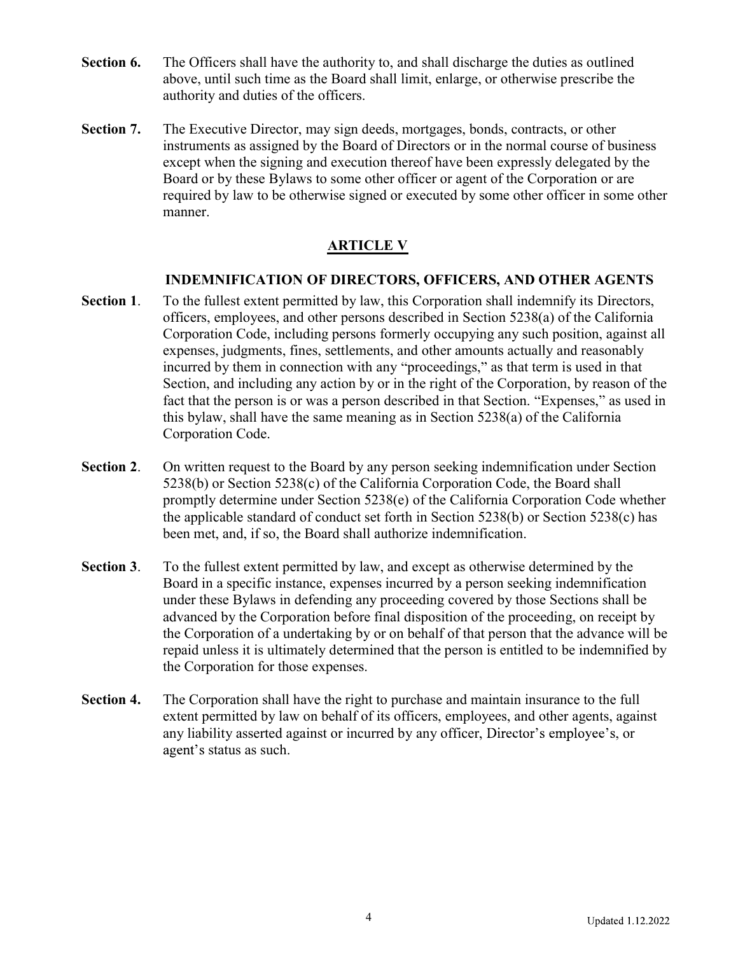- Section 6. The Officers shall have the authority to, and shall discharge the duties as outlined above, until such time as the Board shall limit, enlarge, or otherwise prescribe the authority and duties of the officers.
- Section 7. The Executive Director, may sign deeds, mortgages, bonds, contracts, or other instruments as assigned by the Board of Directors or in the normal course of business except when the signing and execution thereof have been expressly delegated by the Board or by these Bylaws to some other officer or agent of the Corporation or are required by law to be otherwise signed or executed by some other officer in some other manner.

# ARTICLE V

# INDEMNIFICATION OF DIRECTORS, OFFICERS, AND OTHER AGENTS

- Section 1. To the fullest extent permitted by law, this Corporation shall indemnify its Directors, officers, employees, and other persons described in Section 5238(a) of the California Corporation Code, including persons formerly occupying any such position, against all expenses, judgments, fines, settlements, and other amounts actually and reasonably incurred by them in connection with any "proceedings," as that term is used in that Section, and including any action by or in the right of the Corporation, by reason of the fact that the person is or was a person described in that Section. "Expenses," as used in this bylaw, shall have the same meaning as in Section 5238(a) of the California Corporation Code.
- Section 2. On written request to the Board by any person seeking indemnification under Section 5238(b) or Section 5238(c) of the California Corporation Code, the Board shall promptly determine under Section 5238(e) of the California Corporation Code whether the applicable standard of conduct set forth in Section 5238(b) or Section 5238(c) has been met, and, if so, the Board shall authorize indemnification.
- Section 3. To the fullest extent permitted by law, and except as otherwise determined by the Board in a specific instance, expenses incurred by a person seeking indemnification under these Bylaws in defending any proceeding covered by those Sections shall be advanced by the Corporation before final disposition of the proceeding, on receipt by the Corporation of a undertaking by or on behalf of that person that the advance will be repaid unless it is ultimately determined that the person is entitled to be indemnified by the Corporation for those expenses.
- Section 4. The Corporation shall have the right to purchase and maintain insurance to the full extent permitted by law on behalf of its officers, employees, and other agents, against any liability asserted against or incurred by any officer, Director's employee's, or agent's status as such.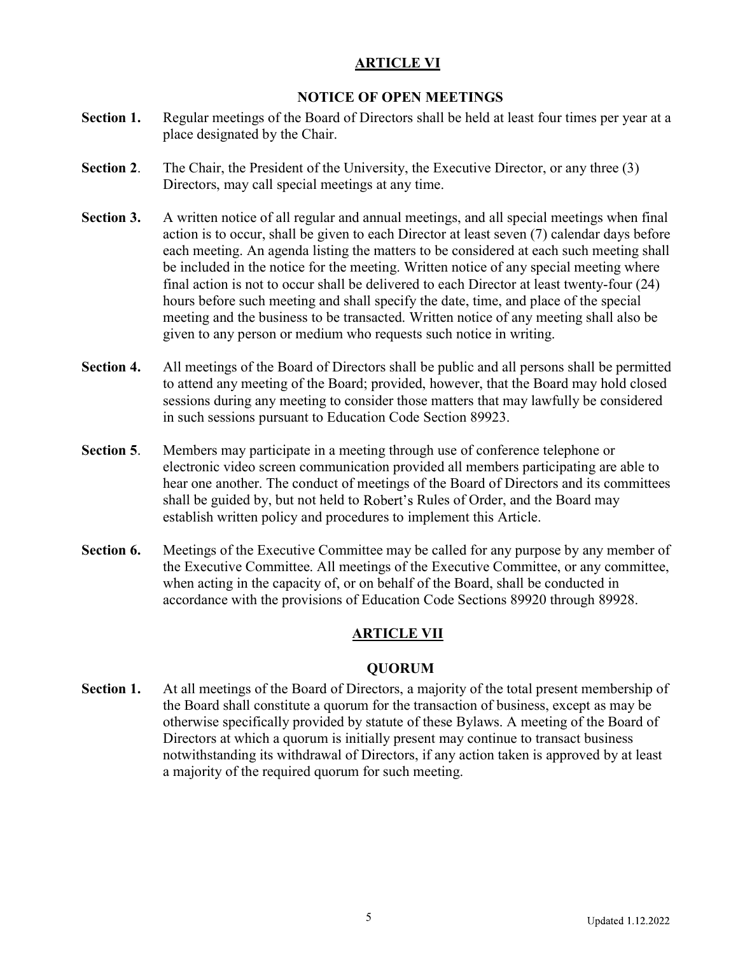# ARTICLE VI

# NOTICE OF OPEN MEETINGS

- Section 1. Regular meetings of the Board of Directors shall be held at least four times per year at a place designated by the Chair.
- Section 2. The Chair, the President of the University, the Executive Director, or any three (3) Directors, may call special meetings at any time.
- Section 3. A written notice of all regular and annual meetings, and all special meetings when final action is to occur, shall be given to each Director at least seven (7) calendar days before each meeting. An agenda listing the matters to be considered at each such meeting shall be included in the notice for the meeting. Written notice of any special meeting where final action is not to occur shall be delivered to each Director at least twenty-four (24) hours before such meeting and shall specify the date, time, and place of the special meeting and the business to be transacted. Written notice of any meeting shall also be given to any person or medium who requests such notice in writing.
- Section 4. All meetings of the Board of Directors shall be public and all persons shall be permitted to attend any meeting of the Board; provided, however, that the Board may hold closed sessions during any meeting to consider those matters that may lawfully be considered in such sessions pursuant to Education Code Section 89923.
- Section 5. Members may participate in a meeting through use of conference telephone or electronic video screen communication provided all members participating are able to hear one another. The conduct of meetings of the Board of Directors and its committees shall be guided by, but not held to Robert's Rules of Order, and the Board may establish written policy and procedures to implement this Article.
- Section 6. Meetings of the Executive Committee may be called for any purpose by any member of the Executive Committee. All meetings of the Executive Committee, or any committee, when acting in the capacity of, or on behalf of the Board, shall be conducted in accordance with the provisions of Education Code Sections 89920 through 89928.

# ARTICLE VII

# QUORUM

Section 1. At all meetings of the Board of Directors, a majority of the total present membership of the Board shall constitute a quorum for the transaction of business, except as may be otherwise specifically provided by statute of these Bylaws. A meeting of the Board of Directors at which a quorum is initially present may continue to transact business notwithstanding its withdrawal of Directors, if any action taken is approved by at least a majority of the required quorum for such meeting.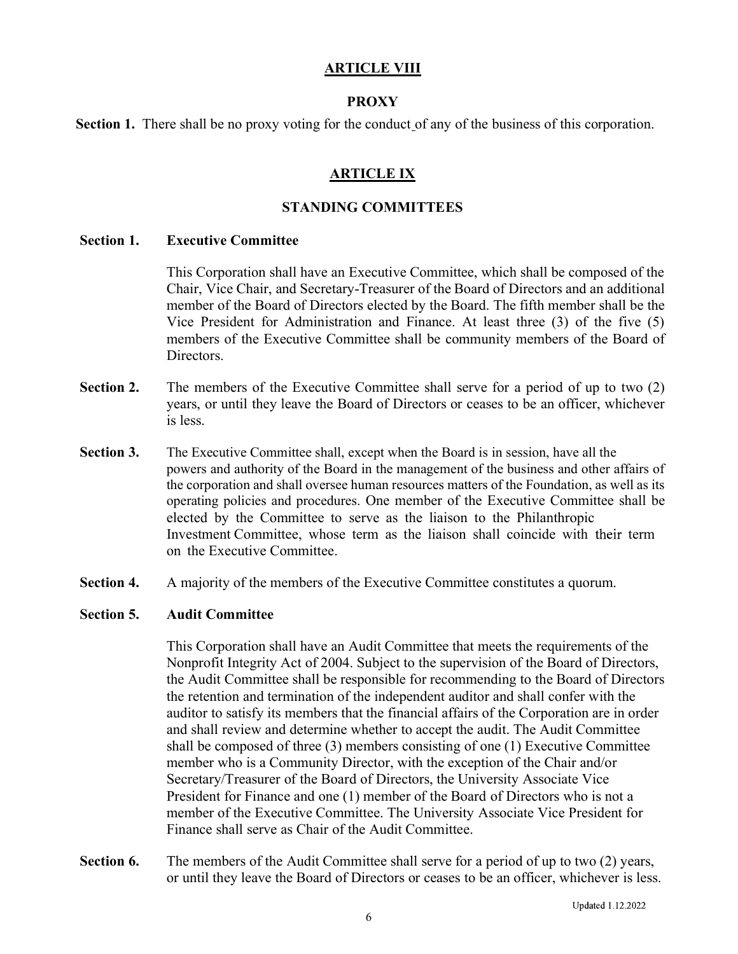### ARTICLE VIII

### **PROXY**

Section 1. There shall be no proxy voting for the conduct of any of the business of this corporation.

# ARTICLE IX

### STANDING COMMITTEES

#### Section 1. Executive Committee

This Corporation shall have an Executive Committee, which shall be composed of the Chair, Vice Chair, and Secretary-Treasurer of the Board of Directors and an additional member of the Board of Directors elected by the Board. The fifth member shall be the Vice President for Administration and Finance. At least three (3) of the five (5) members of the Executive Committee shall be community members of the Board of Directors.

- Section 2. The members of the Executive Committee shall serve for a period of up to two (2) years, or until they leave the Board of Directors or ceases to be an officer, whichever is less.
- Section 3. The Executive Committee shall, except when the Board is in session, have all the powers and authority of the Board in the management of the business and other affairs of the corporation and shall oversee human resources matters of the Foundation, as well as its operating policies and procedures. One member of the Executive Committee shall be elected by the Committee to serve as the liaison to the Philanthropic Investment Committee, whose term as the liaison shall coincide with their term on the Executive Committee.
- Section 4. A majority of the members of the Executive Committee constitutes a quorum.

#### Section 5. Audit Committee

This Corporation shall have an Audit Committee that meets the requirements of the Nonprofit Integrity Act of 2004. Subject to the supervision of the Board of Directors, the Audit Committee shall be responsible for recommending to the Board of Directors the retention and termination of the independent auditor and shall confer with the auditor to satisfy its members that the financial affairs of the Corporation are in order and shall review and determine whether to accept the audit. The Audit Committee shall be composed of three (3) members consisting of one (1) Executive Committee member who is a Community Director, with the exception of the Chair and/or Secretary/Treasurer of the Board of Directors, the University Associate Vice President for Finance and one (1) member of the Board of Directors who is not a member of the Executive Committee. The University Associate Vice President for Finance shall serve as Chair of the Audit Committee.

Section 6. The members of the Audit Committee shall serve for a period of up to two (2) years, or until they leave the Board of Directors or ceases to be an officer, whichever is less.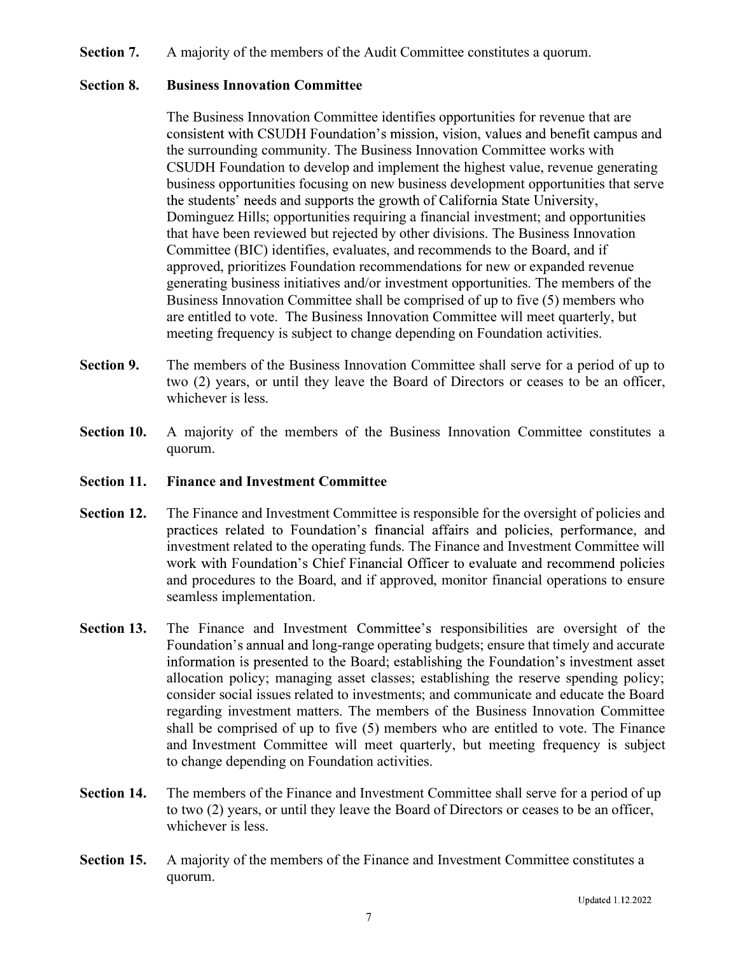#### Section 7. A majority of the members of the Audit Committee constitutes a quorum.

#### Section 8. Business Innovation Committee

The Business Innovation Committee identifies opportunities for revenue that are consistent with CSUDH Foundation's mission, vision, values and benefit campus and the surrounding community. The Business Innovation Committee works with CSUDH Foundation to develop and implement the highest value, revenue generating business opportunities focusing on new business development opportunities that serve the students' needs and supports the growth of California State University, Dominguez Hills; opportunities requiring a financial investment; and opportunities that have been reviewed but rejected by other divisions. The Business Innovation Committee (BIC) identifies, evaluates, and recommends to the Board, and if approved, prioritizes Foundation recommendations for new or expanded revenue generating business initiatives and/or investment opportunities. The members of the Business Innovation Committee shall be comprised of up to five (5) members who are entitled to vote. The Business Innovation Committee will meet quarterly, but meeting frequency is subject to change depending on Foundation activities.

- Section 9. The members of the Business Innovation Committee shall serve for a period of up to two (2) years, or until they leave the Board of Directors or ceases to be an officer, whichever is less.
- Section 10. A majority of the members of the Business Innovation Committee constitutes a quorum.

#### Section 11. Finance and Investment Committee

- Section 12. The Finance and Investment Committee is responsible for the oversight of policies and practices related to Foundation's financial affairs and policies, performance, and investment related to the operating funds. The Finance and Investment Committee will work with Foundation's Chief Financial Officer to evaluate and recommend policies and procedures to the Board, and if approved, monitor financial operations to ensure seamless implementation.
- Section 13. The Finance and Investment Committee's responsibilities are oversight of the Foundation's annual and long-range operating budgets; ensure that timely and accurate information is presented to the Board; establishing the Foundation's investment asset allocation policy; managing asset classes; establishing the reserve spending policy; consider social issues related to investments; and communicate and educate the Board regarding investment matters. The members of the Business Innovation Committee shall be comprised of up to five (5) members who are entitled to vote. The Finance and Investment Committee will meet quarterly, but meeting frequency is subject to change depending on Foundation activities.
- Section 14. The members of the Finance and Investment Committee shall serve for a period of up to two (2) years, or until they leave the Board of Directors or ceases to be an officer, whichever is less.
- Section 15. A majority of the members of the Finance and Investment Committee constitutes a quorum.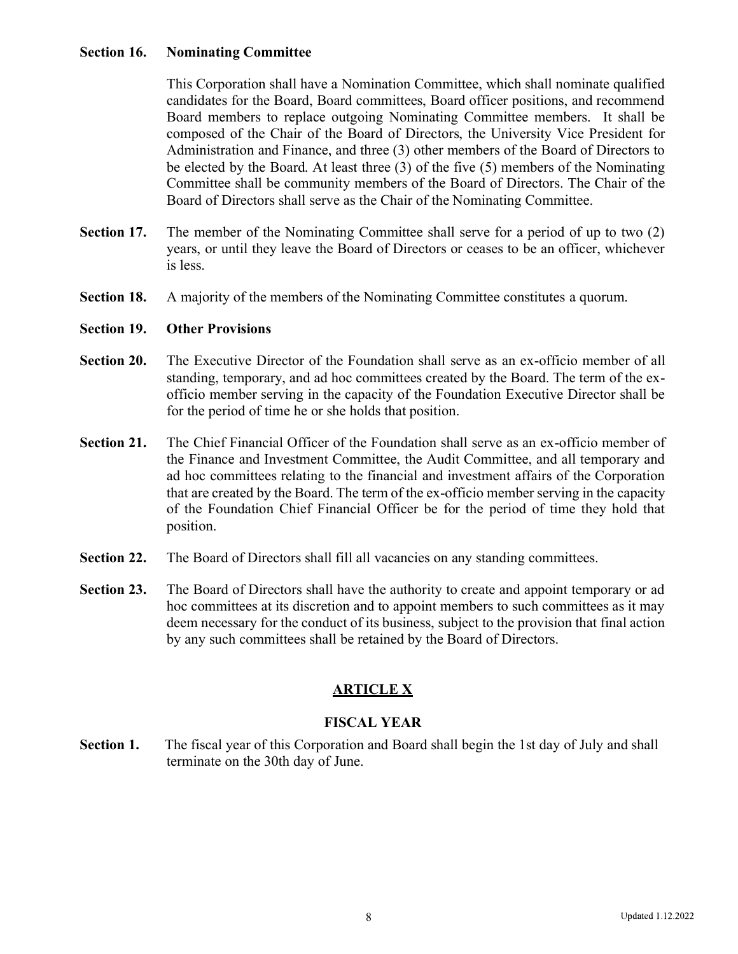### Section 16. Nominating Committee

This Corporation shall have a Nomination Committee, which shall nominate qualified candidates for the Board, Board committees, Board officer positions, and recommend Board members to replace outgoing Nominating Committee members. It shall be composed of the Chair of the Board of Directors, the University Vice President for Administration and Finance, and three (3) other members of the Board of Directors to be elected by the Board. At least three (3) of the five (5) members of the Nominating Committee shall be community members of the Board of Directors. The Chair of the Board of Directors shall serve as the Chair of the Nominating Committee.

- Section 17. The member of the Nominating Committee shall serve for a period of up to two (2) years, or until they leave the Board of Directors or ceases to be an officer, whichever is less.
- Section 18. A majority of the members of the Nominating Committee constitutes a quorum.

#### Section 19. Other Provisions

- Section 20. The Executive Director of the Foundation shall serve as an ex-officio member of all standing, temporary, and ad hoc committees created by the Board. The term of the exofficio member serving in the capacity of the Foundation Executive Director shall be for the period of time he or she holds that position.
- Section 21. The Chief Financial Officer of the Foundation shall serve as an ex-officio member of the Finance and Investment Committee, the Audit Committee, and all temporary and ad hoc committees relating to the financial and investment affairs of the Corporation that are created by the Board. The term of the ex-officio member serving in the capacity of the Foundation Chief Financial Officer be for the period of time they hold that position.
- Section 22. The Board of Directors shall fill all vacancies on any standing committees.
- Section 23. The Board of Directors shall have the authority to create and appoint temporary or ad hoc committees at its discretion and to appoint members to such committees as it may deem necessary for the conduct of its business, subject to the provision that final action by any such committees shall be retained by the Board of Directors.

# **ARTICLE X**

### FISCAL YEAR

Section 1. The fiscal year of this Corporation and Board shall begin the 1st day of July and shall terminate on the 30th day of June.